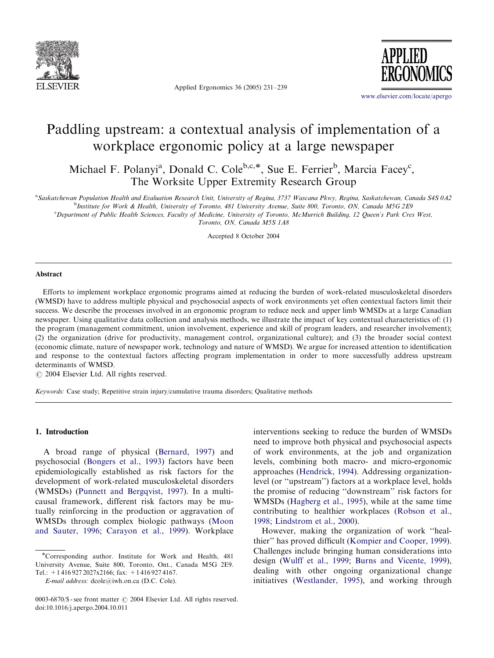

Applied Ergonomics 36 (2005) 231–239



<www.elsevier.com/locate/apergo>

# Paddling upstream: a contextual analysis of implementation of a workplace ergonomic policy at a large newspaper

Michael F. Polanyi<sup>a</sup>, Donald C. Cole<sup>b,c,\*</sup>, Sue E. Ferrier<sup>b</sup>, Marcia Facey<sup>c</sup>, The Worksite Upper Extremity Research Group

a Saskatchewan Population Health and Evaluation Research Unit, University of Regina, 3737 Wascana Pkwy, Regina, Saskatchewan, Canada S4S 0A2

b Institute for Work & Health, University of Toronto, 481 University Avenue, Suite 800, Toronto, ON, Canada M5G 2E9

c Department of Public Health Sciences, Faculty of Medicine, University of Toronto, McMurrich Building, 12 Queen's Park Cres West,

Toronto, ON, Canada M5S 1A8

Accepted 8 October 2004

#### Abstract

Efforts to implement workplace ergonomic programs aimed at reducing the burden of work-related musculoskeletal disorders (WMSD) have to address multiple physical and psychosocial aspects of work environments yet often contextual factors limit their success. We describe the processes involved in an ergonomic program to reduce neck and upper limb WMSDs at a large Canadian newspaper. Using qualitative data collection and analysis methods, we illustrate the impact of key contextual characteristics of: (1) the program (management commitment, union involvement, experience and skill of program leaders, and researcher involvement); (2) the organization (drive for productivity, management control, organizational culture); and (3) the broader social context (economic climate, nature of newspaper work, technology and nature of WMSD). We argue for increased attention to identification and response to the contextual factors affecting program implementation in order to more successfully address upstream determinants of WMSD.

 $C$  2004 Elsevier Ltd. All rights reserved.

Keywords: Case study; Repetitive strain injury/cumulative trauma disorders; Qualitative methods

### 1. Introduction

A broad range of physical ([Bernard, 1997](#page--1-0)) and psychosocial ([Bongers et al., 1993\)](#page--1-0) factors have been epidemiologically established as risk factors for the development of work-related musculoskeletal disorders (WMSDs) ([Punnett and Bergqvist, 1997](#page--1-0)). In a multicausal framework, different risk factors may be mutually reinforcing in the production or aggravation of WMSDs through complex biologic pathways [\(Moon](#page--1-0) [and Sauter, 1996](#page--1-0); [Carayon et al., 1999](#page--1-0)). Workplace

E-mail address: dcole@iwh.on.ca (D.C. Cole).

interventions seeking to reduce the burden of WMSDs need to improve both physical and psychosocial aspects ofwork environments, at the job and organization levels, combining both macro- and micro-ergonomic approaches ([Hendrick, 1994\)](#page--1-0). Addressing organizationlevel (or ''upstream'') factors at a workplace level, holds the promise of reducing ''downstream'' risk factors for WMSDs ([Hagberg et al., 1995](#page--1-0)), while at the same time contributing to healthier workplaces ([Robson et al.,](#page--1-0) [1998](#page--1-0); [Lindstrom et al., 2000](#page--1-0)).

However, making the organization of work "healthier'' has proved difficult ([Kompier and Cooper, 1999\)](#page--1-0). Challenges include bringing human considerations into design ([Wulff et al., 1999;](#page--1-0) [Burns and Vicente, 1999\)](#page--1-0), dealing with other ongoing organizational change initiatives [\(Westlander, 1995\)](#page--1-0), and working through

Corresponding author. Institute for Work and Health, 481 University Avenue, Suite 800, Toronto, Ont., Canada M5G 2E9. Tel.: +1 416 927 2027x2166; fax: +1 416 927 4167.

<sup>0003-6870/\$ -</sup> see front matter  $\odot$  2004 Elsevier Ltd. All rights reserved. doi:10.1016/j.apergo.2004.10.011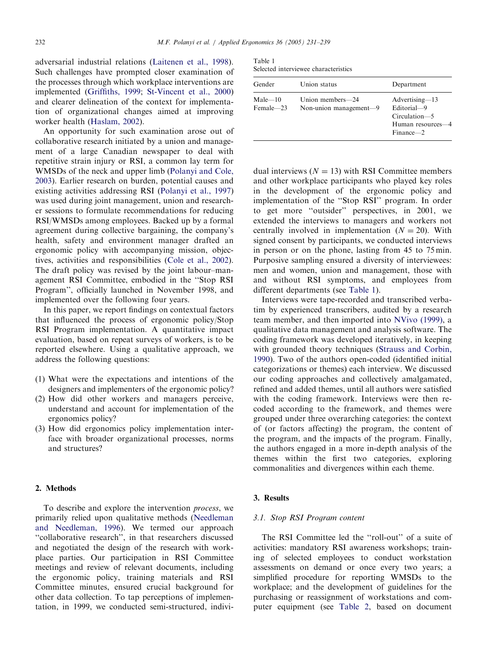adversarial industrial relations ([Laitenen et al., 1998\)](#page--1-0). Such challenges have prompted closer examination of the processes through which workplace interventions are implemented ([Griffiths, 1999;](#page--1-0) [St-Vincent et al., 2000](#page--1-0)) and clearer delineation of the context for implementation of organizational changes aimed at improving worker health [\(Haslam, 2002](#page--1-0)).

An opportunity for such examination arose out of collaborative research initiated by a union and management of a large Canadian newspaper to deal with repetitive strain injury or RSI, a common lay term for WMSDs of the neck and upper limb ([Polanyi and Cole,](#page--1-0) [2003](#page--1-0)). Earlier research on burden, potential causes and existing activities addressing RSI [\(Polanyi et al., 1997](#page--1-0)) was used during joint management, union and researcher sessions to formulate recommendations for reducing RSI/WMSDs among employees. Backed up by a formal agreement during collective bargaining, the company's health, safety and environment manager drafted an ergonomic policy with accompanying mission, objectives, activities and responsibilities ([Cole et al., 2002\)](#page--1-0). The draft policy was revised by the joint labour–management RSI Committee, embodied in the ''Stop RSI Program'', officially launched in November 1998, and implemented over the following four years.

In this paper, we report findings on contextual factors that influenced the process of ergonomic policy/Stop RSI Program implementation. A quantitative impact evaluation, based on repeat surveys of workers, is to be reported elsewhere. Using a qualitative approach, we address the following questions:

- $(1)$  What were the expectations and intentions of the designers and implementers of the ergonomic policy?
- (2) How did other workers and managers perceive, understand and account for implementation of the ergonomics policy?
- (3) How did ergonomics policy implementation interface with broader organizational processes, norms and structures?

## 2. Methods

To describe and explore the intervention process, we primarily relied upon qualitative methods [\(Needleman](#page--1-0) [and Needleman, 1996](#page--1-0)). We termed our approach ''collaborative research'', in that researchers discussed and negotiated the design of the research with workplace parties. Our participation in RSI Committee meetings and review of relevant documents, including the ergonomic policy, training materials and RSI Committee minutes, ensured crucial background for other data collection. To tap perceptions of implementation, in 1999, we conducted semi-structured, indivi-

Table 1 Selected interviewee characteristics

| Gender                   | Union status                               | Department                                                                           |
|--------------------------|--------------------------------------------|--------------------------------------------------------------------------------------|
| $Male - 10$<br>Female-23 | Union members-24<br>Non-union management-9 | Advertising-13<br>Editorial-9<br>Circulation-5<br>Human resources-4<br>$Finance - 2$ |

dual interviews  $(N = 13)$  with RSI Committee members and other workplace participants who played key roles in the development of the ergonomic policy and implementation of the "Stop RSI" program. In order to get more ''outsider'' perspectives, in 2001, we extended the interviews to managers and workers not centrally involved in implementation  $(N = 20)$ . With signed consent by participants, we conducted interviews in person or on the phone, lasting from 45 to 75 min. Purposive sampling ensured a diversity of interviewees: men and women, union and management, those with and without RSI symptoms, and employees from different departments (see Table 1).

Interviews were tape-recorded and transcribed verbatim by experienced transcribers, audited by a research team member, and then imported into [NVivo \(1999\),](#page--1-0) a qualitative data management and analysis software. The coding framework was developed iteratively, in keeping with grounded theory techniques ([Strauss and Corbin,](#page--1-0) [1990](#page--1-0)). Two of the authors open-coded (identified initial categorizations or themes) each interview. We discussed our coding approaches and collectively amalgamated, refined and added themes, until all authors were satisfied with the coding framework. Interviews were then recoded according to the framework, and themes were grouped under three overarching categories: the context of (or factors affecting) the program, the content of the program, and the impacts of the program. Finally, the authors engaged in a more in-depth analysis of the themes within the first two categories, exploring commonalities and divergences within each theme.

## 3. Results

#### 3.1. Stop RSI Program content

The RSI Committee led the "roll-out" of a suite of activities: mandatory RSI awareness workshops; training of selected employees to conduct workstation assessments on demand or once every two years; a simplified procedure for reporting WMSDs to the workplace; and the development of guidelines for the purchasing or reassignment of workstations and computer equipment (see [Table 2,](#page--1-0) based on document